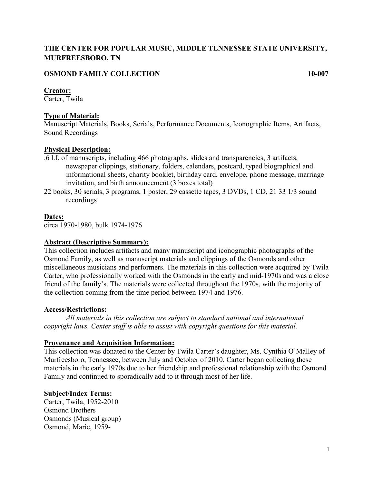# **THE CENTER FOR POPULAR MUSIC, MIDDLE TENNESSEE STATE UNIVERSITY, MURFREESBORO, TN**

# **OSMOND FAMILY COLLECTION 10-007**

## **Creator:**

Carter, Twila

# **Type of Material:**

Manuscript Materials, Books, Serials, Performance Documents, Iconographic Items, Artifacts, Sound Recordings

# **Physical Description:**

- .6 l.f. of manuscripts, including 466 photographs, slides and transparencies, 3 artifacts, newspaper clippings, stationary, folders, calendars, postcard, typed biographical and informational sheets, charity booklet, birthday card, envelope, phone message, marriage invitation, and birth announcement (3 boxes total)
- 22 books, 30 serials, 3 programs, 1 poster, 29 cassette tapes, 3 DVDs, 1 CD, 21 33 1/3 sound recordings

## **Dates:**

circa 1970-1980, bulk 1974-1976

## **Abstract (Descriptive Summary):**

This collection includes artifacts and many manuscript and iconographic photographs of the Osmond Family, as well as manuscript materials and clippings of the Osmonds and other miscellaneous musicians and performers. The materials in this collection were acquired by Twila Carter, who professionally worked with the Osmonds in the early and mid-1970s and was a close friend of the family's. The materials were collected throughout the 1970s, with the majority of the collection coming from the time period between 1974 and 1976.

## **Access/Restrictions:**

*All materials in this collection are subject to standard national and international copyright laws. Center staff is able to assist with copyright questions for this material.*

## **Provenance and Acquisition Information:**

This collection was donated to the Center by Twila Carter's daughter, Ms. Cynthia O'Malley of Murfreesboro, Tennessee, between July and October of 2010. Carter began collecting these materials in the early 1970s due to her friendship and professional relationship with the Osmond Family and continued to sporadically add to it through most of her life.

## **Subject/Index Terms:**

Carter, Twila, 1952-2010 Osmond Brothers Osmonds (Musical group) Osmond, Marie, 1959-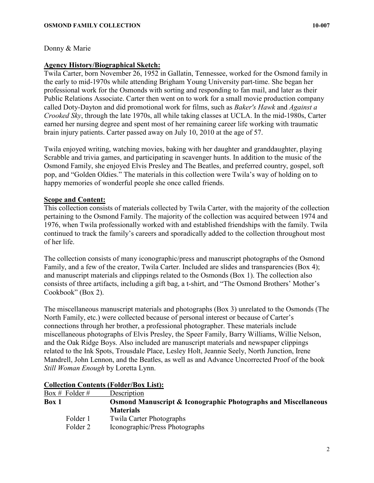## Donny & Marie

## **Agency History/Biographical Sketch:**

Twila Carter, born November 26, 1952 in Gallatin, Tennessee, worked for the Osmond family in the early to mid-1970s while attending Brigham Young University part-time. She began her professional work for the Osmonds with sorting and responding to fan mail, and later as their Public Relations Associate. Carter then went on to work for a small movie production company called Doty-Dayton and did promotional work for films, such as *Baker's Hawk* and *Against a Crooked Sky*, through the late 1970s, all while taking classes at UCLA. In the mid-1980s, Carter earned her nursing degree and spent most of her remaining career life working with traumatic brain injury patients. Carter passed away on July 10, 2010 at the age of 57.

Twila enjoyed writing, watching movies, baking with her daughter and granddaughter, playing Scrabble and trivia games, and participating in scavenger hunts. In addition to the music of the Osmond Family, she enjoyed Elvis Presley and The Beatles, and preferred country, gospel, soft pop, and "Golden Oldies." The materials in this collection were Twila's way of holding on to happy memories of wonderful people she once called friends.

# **Scope and Content:**

This collection consists of materials collected by Twila Carter, with the majority of the collection pertaining to the Osmond Family. The majority of the collection was acquired between 1974 and 1976, when Twila professionally worked with and established friendships with the family. Twila continued to track the family's careers and sporadically added to the collection throughout most of her life.

The collection consists of many iconographic/press and manuscript photographs of the Osmond Family, and a few of the creator, Twila Carter. Included are slides and transparencies (Box 4); and manuscript materials and clippings related to the Osmonds (Box 1). The collection also consists of three artifacts, including a gift bag, a t-shirt, and "The Osmond Brothers' Mother's Cookbook" (Box 2).

The miscellaneous manuscript materials and photographs (Box 3) unrelated to the Osmonds (The North Family, etc.) were collected because of personal interest or because of Carter's connections through her brother, a professional photographer. These materials include miscellaneous photographs of Elvis Presley, the Speer Family, Barry Williams, Willie Nelson, and the Oak Ridge Boys. Also included are manuscript materials and newspaper clippings related to the Ink Spots, Trousdale Place, Lesley Holt, Jeannie Seely, North Junction, Irene Mandrell, John Lennon, and the Beatles, as well as and Advance Uncorrected Proof of the book *Still Woman Enough* by Loretta Lynn.

| Description | <b>Collection Contents (Folder/Box List):</b> |  |
|-------------|-----------------------------------------------|--|
|             | Box # Folder #                                |  |

| $\text{Box } \# \text{ rolder } \#$ | Description                                                               |
|-------------------------------------|---------------------------------------------------------------------------|
|                                     | <b>Osmond Manuscript &amp; Iconographic Photographs and Miscellaneous</b> |
|                                     | <b>Materials</b>                                                          |
| Folder 1                            | <b>Twila Carter Photographs</b>                                           |
| Folder 2                            | Iconographic/Press Photographs                                            |
|                                     |                                                                           |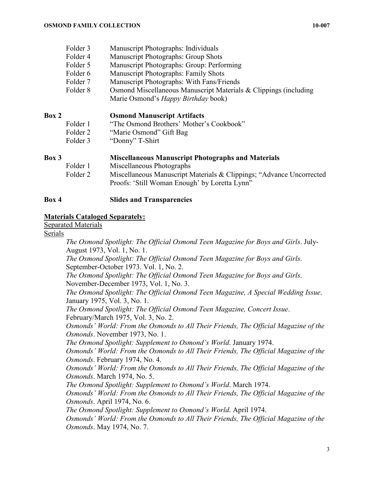| Folder 3 | Manuscript Photographs: Individuals |  |
|----------|-------------------------------------|--|
|----------|-------------------------------------|--|

- Folder 4 Manuscript Photographs: Group Shots
- Folder 5 Manuscript Photographs: Group: Performing
- Folder 6 Manuscript Photographs: Family Shots
- Folder 7 Manuscript Photographs: With Fans/Friends
- Folder 8 Osmond Miscellaneous Manuscript Materials & Clippings (including
	- Marie Osmond's *Happy Birthday* book)

## **Box 2 Osmond Manuscript Artifacts**

- Folder 1 "The Osmond Brothers' Mother's Cookbook"
- Folder 2 "Marie Osmond" Gift Bag
- Folder 3 "Donny" T-Shirt

**Box 3 Miscellaneous Manuscript Photographs and Materials** Folder 1 Miscellaneous Photographs Folder 2 Miscellaneous Manuscript Materials & Clippings; "Advance Uncorrected Proofs: 'Still Woman Enough' by Loretta Lynn"

## **Box 4 Slides and Transparencies**

#### **Materials Cataloged Separately:**

Separated Materials

#### Serials

*The Osmond Spotlight: The Official Osmond Teen Magazine for Boys and Girls*. July-August 1973, Vol. 1, No. 1. *The Osmond Spotlight: The Official Osmond Teen Magazine for Boys and Girls*. September-October 1973. Vol. 1, No. 2. *The Osmond Spotlight: The Official Osmond Teen Magazine for Boys and Girls*. November-December 1973, Vol. 1, No. 3. *The Osmond Spotlight: The Official Osmond Teen Magazine, A Special Wedding Issue*. January 1975, Vol. 3, No. 1. *The Osmond Spotlight: The Official Osmond Teen Magazine, Concert Issue*. February/March 1975, Vol. 3, No. 2. *Osmonds' World: From the Osmonds to All Their Friends, The Official Magazine of the Osmonds*. November 1973, No. 1. *The Osmond Spotlight: Supplement to Osmond's World*. January 1974. *Osmonds' World: From the Osmonds to All Their Friends, The Official Magazine of the Osmonds*. February 1974, No. 4. *Osmonds' World: From the Osmonds to All Their Friends, The Official Magazine of the Osmonds*. March 1974, No. 5. *The Osmond Spotlight: Supplement to Osmond's World*. March 1974. *Osmonds' World: From the Osmonds to All Their Friends, The Official Magazine of the* 

*Osmonds*. April 1974, No. 6.

*The Osmond Spotlight: Supplement to Osmond's World*. April 1974.

*Osmonds' World: From the Osmonds to All Their Friends, The Official Magazine of the Osmonds*. May 1974, No. 7.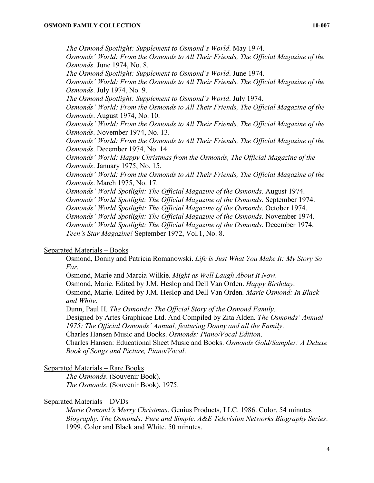*The Osmond Spotlight: Supplement to Osmond's World*. May 1974. *Osmonds' World: From the Osmonds to All Their Friends, The Official Magazine of the Osmonds*. June 1974, No. 8. *The Osmond Spotlight: Supplement to Osmond's World*. June 1974. *Osmonds' World: From the Osmonds to All Their Friends, The Official Magazine of the Osmonds*. July 1974, No. 9. *The Osmond Spotlight: Supplement to Osmond's World*. July 1974. *Osmonds' World: From the Osmonds to All Their Friends, The Official Magazine of the Osmonds*. August 1974, No. 10. *Osmonds' World: From the Osmonds to All Their Friends, The Official Magazine of the Osmonds*. November 1974, No. 13. *Osmonds' World: From the Osmonds to All Their Friends, The Official Magazine of the Osmonds*. December 1974, No. 14. *Osmonds' World: Happy Christmas from the Osmonds, The Official Magazine of the Osmonds*. January 1975, No. 15. *Osmonds' World: From the Osmonds to All Their Friends, The Official Magazine of the Osmonds*. March 1975, No. 17. *Osmonds' World Spotlight: The Official Magazine of the Osmonds*. August 1974. *Osmonds' World Spotlight: The Official Magazine of the Osmonds*. September 1974. *Osmonds' World Spotlight: The Official Magazine of the Osmonds*. October 1974. *Osmonds' World Spotlight: The Official Magazine of the Osmonds*. November 1974. *Osmonds' World Spotlight: The Official Magazine of the Osmonds*. December 1974. *Teen's Star Magazine!* September 1972, Vol.1, No. 8.

## Separated Materials – Books

Osmond, Donny and Patricia Romanowski. *Life is Just What You Make It: My Story So Far.*

Osmond, Marie and Marcia Wilkie. *Might as Well Laugh About It Now*.

Osmond, Marie. Edited by J.M. Heslop and Dell Van Orden. *Happy Birthday*.

Osmond, Marie. Edited by J.M. Heslop and Dell Van Orden*. Marie Osmond: In Black and White*.

Dunn, Paul H*. The Osmonds: The Official Story of the Osmond Family*.

Designed by Artes Graphicae Ltd. And Compiled by Zita Alden*. The Osmonds' Annual 1975: The Official Osmonds' Annual, featuring Donny and all the Family*.

Charles Hansen Music and Books. *Osmonds: Piano/Vocal Edition*.

Charles Hansen: Educational Sheet Music and Books. *Osmonds Gold/Sampler: A Deluxe Book of Songs and Picture, Piano/Vocal*.

#### Separated Materials – Rare Books

*The Osmonds*. (Souvenir Book). *The Osmonds*. (Souvenir Book). 1975.

#### Separated Materials – DVDs

*Marie Osmond's Merry Christmas*. Genius Products, LLC. 1986. Color. 54 minutes *Biography. The Osmonds: Pure and Simple. A&E Television Networks Biography Series*. 1999. Color and Black and White. 50 minutes.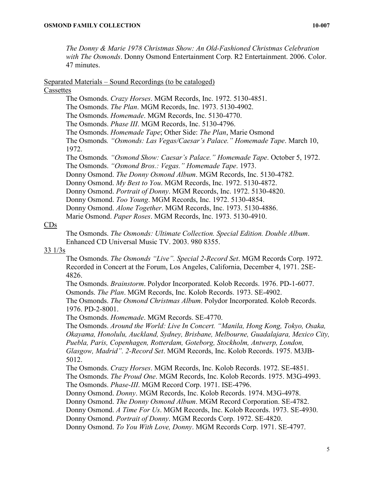*The Donny & Marie 1978 Christmas Show: An Old-Fashioned Christmas Celebration with The Osmonds*. Donny Osmond Entertainment Corp. R2 Entertainment. 2006. Color. 47 minutes.

#### Separated Materials – Sound Recordings (to be cataloged)

#### **Cassettes**

The Osmonds. *Crazy Horses*. MGM Records, Inc. 1972. 5130-4851. The Osmonds. *The Plan*. MGM Records, Inc. 1973. 5130-4902. The Osmonds. *Homemade*. MGM Records, Inc. 5130-4770. The Osmonds. *Phase III*. MGM Records, Inc. 5130-4796. The Osmonds. *Homemade Tape*; Other Side: *The Plan*, Marie Osmond The Osmonds*. "Osmonds: Las Vegas/Caesar's Palace." Homemade Tape*. March 10, 1972. The Osmonds*. "Osmond Show: Caesar's Palace." Homemade Tape*. October 5, 1972. The Osmonds. *"Osmond Bros.: Vegas." Homemade Tape*. 1973. Donny Osmond. *The Donny Osmond Album*. MGM Records, Inc. 5130-4782. Donny Osmond. *My Best to You*. MGM Records, Inc. 1972. 5130-4872. Donny Osmond. *Portrait of Donny*. MGM Records, Inc. 1972. 5130-4820. Donny Osmond. *Too Young*. MGM Records, Inc. 1972. 5130-4854. Donny Osmond. *Alone Together*. MGM Records, Inc. 1973. 5130-4886. Marie Osmond. *Paper Roses*. MGM Records, Inc. 1973. 5130-4910.

## $CDs$

The Osmonds. *The Osmonds: Ultimate Collection. Special Edition. Double Album*. Enhanced CD Universal Music TV. 2003. 980 8355.

## 33 1/3s

The Osmonds. *The Osmonds "Live". Special 2-Record Set*. MGM Records Corp. 1972. Recorded in Concert at the Forum, Los Angeles, California, December 4, 1971. 2SE-4826.

The Osmonds. *Brainstorm*. Polydor Incorporated. Kolob Records. 1976. PD-1-6077. Osmonds. *The Plan*. MGM Records, Inc. Kolob Records. 1973. SE-4902.

The Osmonds. *The Osmond Christmas Album*. Polydor Incorporated. Kolob Records. 1976. PD-2-8001.

The Osmonds. *Homemade*. MGM Records. SE-4770.

The Osmonds. *Around the World: Live In Concert. "Manila, Hong Kong, Tokyo, Osaka, Okayama, Honolulu, Auckland, Sydney, Brisbane, Melbourne, Guadalajara, Mexico City, Puebla, Paris, Copenhagen, Rotterdam, Goteborg, Stockholm, Antwerp, London, Glasgow, Madrid". 2-Record Set*. MGM Records, Inc. Kolob Records. 1975. M3JB-5012.

The Osmonds. *Crazy Horses*. MGM Records, Inc. Kolob Records. 1972. SE-4851. The Osmonds. *The Proud One*. MGM Records, Inc. Kolob Records. 1975. M3G-4993. The Osmonds. *Phase-III*. MGM Record Corp. 1971. ISE-4796.

Donny Osmond. *Donny*. MGM Records, Inc. Kolob Records. 1974. M3G-4978.

Donny Osmond. *The Donny Osmond Album*. MGM Record Corporation. SE-4782.

Donny Osmond. *A Time For Us*. MGM Records, Inc. Kolob Records. 1973. SE-4930.

Donny Osmond. *Portrait of Donny*. MGM Records Corp. 1972. SE-4820.

Donny Osmond. *To You With Love, Donny*. MGM Records Corp. 1971. SE-4797.